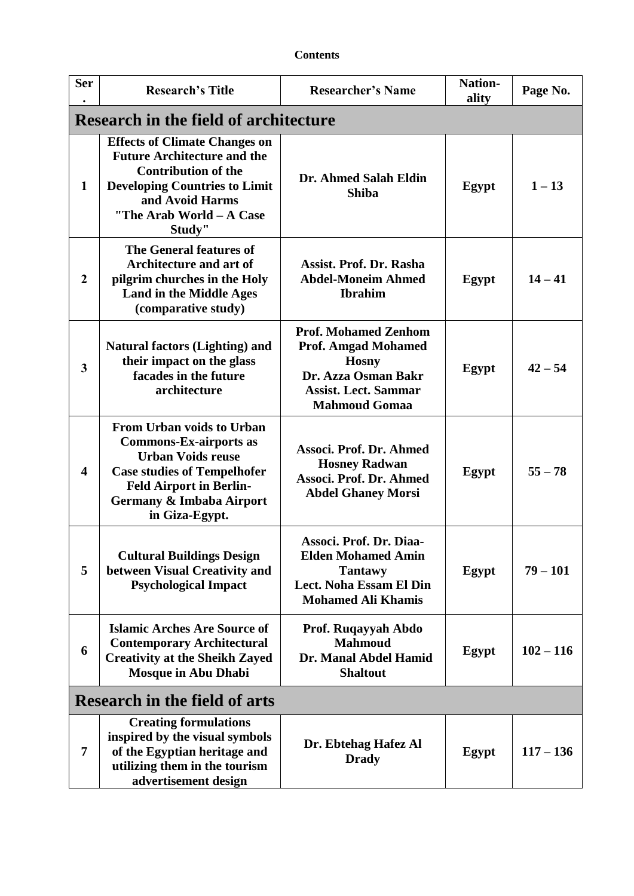| <b>Ser</b>                           | <b>Research's Title</b>                                                                                                                                                                                             | <b>Researcher's Name</b>                                                                                                                                | <b>Nation-</b><br>ality | Page No.    |
|--------------------------------------|---------------------------------------------------------------------------------------------------------------------------------------------------------------------------------------------------------------------|---------------------------------------------------------------------------------------------------------------------------------------------------------|-------------------------|-------------|
|                                      | <b>Research in the field of architecture</b>                                                                                                                                                                        |                                                                                                                                                         |                         |             |
| 1                                    | <b>Effects of Climate Changes on</b><br><b>Future Architecture and the</b><br><b>Contribution of the</b><br><b>Developing Countries to Limit</b><br>and Avoid Harms<br>"The Arab World - A Case<br>Study"           | Dr. Ahmed Salah Eldin<br><b>Shiba</b>                                                                                                                   | Egypt                   | $1 - 13$    |
| $\overline{2}$                       | The General features of<br><b>Architecture and art of</b><br>pilgrim churches in the Holy<br><b>Land in the Middle Ages</b><br>(comparative study)                                                                  | Assist. Prof. Dr. Rasha<br><b>Abdel-Moneim Ahmed</b><br><b>Ibrahim</b>                                                                                  | Egypt                   | $14 - 41$   |
| $\overline{\mathbf{3}}$              | <b>Natural factors (Lighting) and</b><br>their impact on the glass<br>facades in the future<br>architecture                                                                                                         | <b>Prof. Mohamed Zenhom</b><br><b>Prof. Amgad Mohamed</b><br><b>Hosny</b><br>Dr. Azza Osman Bakr<br><b>Assist. Lect. Sammar</b><br><b>Mahmoud Gomaa</b> | Egypt                   | $42 - 54$   |
| $\overline{\mathbf{4}}$              | <b>From Urban voids to Urban</b><br><b>Commons-Ex-airports as</b><br><b>Urban Voids reuse</b><br><b>Case studies of Tempelhofer</b><br><b>Feld Airport in Berlin-</b><br>Germany & Imbaba Airport<br>in Giza-Egypt. | Associ. Prof. Dr. Ahmed<br><b>Hosney Radwan</b><br>Associ. Prof. Dr. Ahmed<br><b>Abdel Ghaney Morsi</b>                                                 | Egypt                   | $55 - 78$   |
| 5                                    | <b>Cultural Buildings Design</b><br>between Visual Creativity and<br><b>Psychological Impact</b>                                                                                                                    | Associ. Prof. Dr. Diaa-<br><b>Elden Mohamed Amin</b><br><b>Tantawy</b><br>Lect. Noha Essam El Din<br><b>Mohamed Ali Khamis</b>                          | <b>Egypt</b>            | $79 - 101$  |
| 6                                    | <b>Islamic Arches Are Source of</b><br><b>Contemporary Architectural</b><br><b>Creativity at the Sheikh Zayed</b><br><b>Mosque in Abu Dhabi</b>                                                                     | Prof. Ruqayyah Abdo<br><b>Mahmoud</b><br>Dr. Manal Abdel Hamid<br><b>Shaltout</b>                                                                       | Egypt                   | $102 - 116$ |
| <b>Research in the field of arts</b> |                                                                                                                                                                                                                     |                                                                                                                                                         |                         |             |
| 7                                    | <b>Creating formulations</b><br>inspired by the visual symbols<br>of the Egyptian heritage and<br>utilizing them in the tourism<br>advertisement design                                                             | Dr. Ebtehag Hafez Al<br><b>Drady</b>                                                                                                                    | Egypt                   | $117 - 136$ |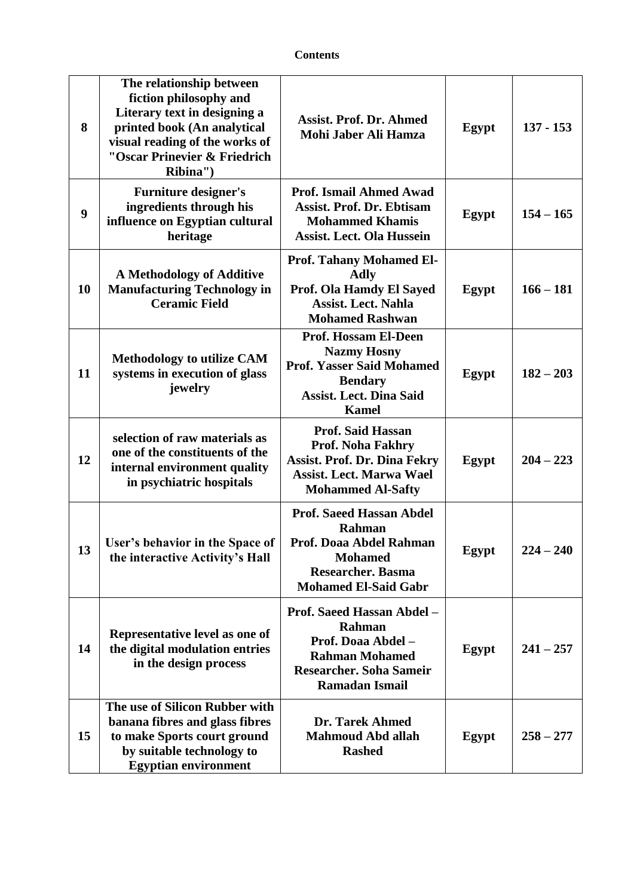| 8                | The relationship between<br>fiction philosophy and<br>Literary text in designing a<br>printed book (An analytical<br>visual reading of the works of<br>"Oscar Prinevier & Friedrich<br>Ribina") | <b>Assist. Prof. Dr. Ahmed</b><br>Mohi Jaber Ali Hamza                                                                                                    | Egypt | $137 - 153$   |
|------------------|-------------------------------------------------------------------------------------------------------------------------------------------------------------------------------------------------|-----------------------------------------------------------------------------------------------------------------------------------------------------------|-------|---------------|
| $\boldsymbol{9}$ | <b>Furniture designer's</b><br>ingredients through his<br>influence on Egyptian cultural<br>heritage                                                                                            | <b>Prof. Ismail Ahmed Awad</b><br><b>Assist. Prof. Dr. Ebtisam</b><br><b>Mohammed Khamis</b><br><b>Assist. Lect. Ola Hussein</b>                          | Egypt | $154 - 165$   |
| 10               | A Methodology of Additive<br><b>Manufacturing Technology in</b><br><b>Ceramic Field</b>                                                                                                         | <b>Prof. Tahany Mohamed El-</b><br><b>Adly</b><br>Prof. Ola Hamdy El Sayed<br><b>Assist. Lect. Nahla</b><br><b>Mohamed Rashwan</b>                        | Egypt | $166 - 181$   |
| 11               | <b>Methodology to utilize CAM</b><br>systems in execution of glass<br>jewelry                                                                                                                   | <b>Prof. Hossam El-Deen</b><br><b>Nazmy Hosny</b><br><b>Prof. Yasser Said Mohamed</b><br><b>Bendary</b><br><b>Assist. Lect. Dina Said</b><br><b>Kamel</b> | Egypt | $182 - 203$   |
| 12               | selection of raw materials as<br>one of the constituents of the<br>internal environment quality<br>in psychiatric hospitals                                                                     | <b>Prof. Said Hassan</b><br>Prof. Noha Fakhry<br><b>Assist. Prof. Dr. Dina Fekry</b><br><b>Assist. Lect. Marwa Wael</b><br><b>Mohammed Al-Safty</b>       | Egypt | $204 - 223$   |
| 13               | User's behavior in the Space of<br>the interactive Activity's Hall                                                                                                                              | <b>Prof. Saeed Hassan Abdel</b><br>Rahman<br>Prof. Doaa Abdel Rahman<br><b>Mohamed</b><br><b>Researcher. Basma</b><br><b>Mohamed El-Said Gabr</b>         | Egypt | 224<br>$-240$ |
| 14               | Representative level as one of<br>the digital modulation entries<br>in the design process                                                                                                       | Prof. Saeed Hassan Abdel -<br>Rahman<br>Prof. Doaa Abdel -<br><b>Rahman Mohamed</b><br><b>Researcher. Soha Sameir</b><br><b>Ramadan Ismail</b>            | Egypt | $241 - 257$   |
| 15               | The use of Silicon Rubber with<br>banana fibres and glass fibres<br>to make Sports court ground<br>by suitable technology to<br><b>Egyptian environment</b>                                     | Dr. Tarek Ahmed<br><b>Mahmoud Abd allah</b><br><b>Rashed</b>                                                                                              | Egypt | $258 - 277$   |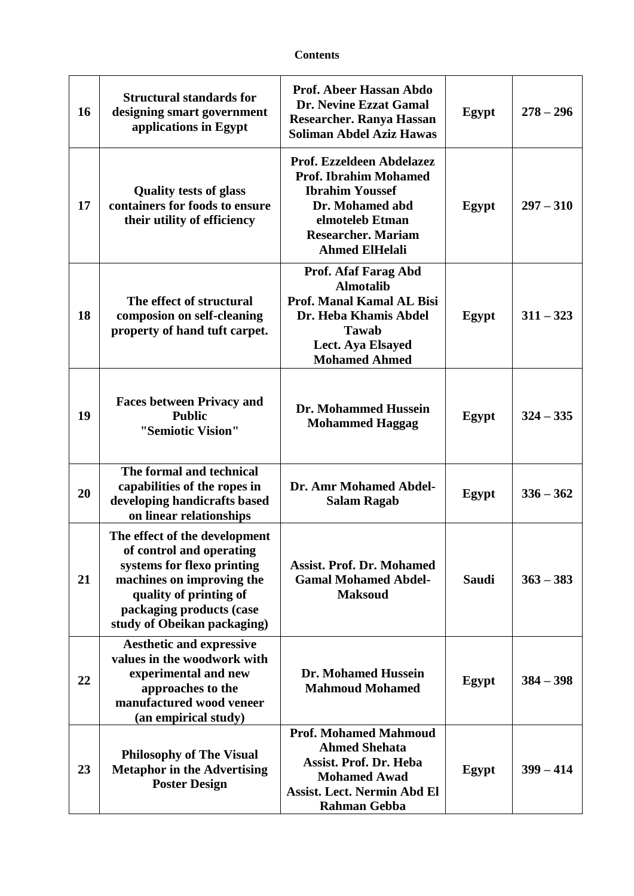| 16 | <b>Structural standards for</b><br>designing smart government<br>applications in Egypt                                                                                                                    | <b>Prof. Abeer Hassan Abdo</b><br>Dr. Nevine Ezzat Gamal<br>Researcher. Ranya Hassan<br><b>Soliman Abdel Aziz Hawas</b>                                                         | Egypt        | $278 - 296$ |
|----|-----------------------------------------------------------------------------------------------------------------------------------------------------------------------------------------------------------|---------------------------------------------------------------------------------------------------------------------------------------------------------------------------------|--------------|-------------|
| 17 | <b>Quality tests of glass</b><br>containers for foods to ensure<br>their utility of efficiency                                                                                                            | Prof. Ezzeldeen Abdelazez<br><b>Prof. Ibrahim Mohamed</b><br><b>Ibrahim Youssef</b><br>Dr. Mohamed abd<br>elmoteleb Etman<br><b>Researcher. Mariam</b><br><b>Ahmed ElHelali</b> | Egypt        | $297 - 310$ |
| 18 | The effect of structural<br>composion on self-cleaning<br>property of hand tuft carpet.                                                                                                                   | Prof. Afaf Farag Abd<br><b>Almotalib</b><br><b>Prof. Manal Kamal AL Bisi</b><br>Dr. Heba Khamis Abdel<br><b>Tawab</b><br>Lect. Aya Elsayed<br><b>Mohamed Ahmed</b>              | Egypt        | $311 - 323$ |
| 19 | <b>Faces between Privacy and</b><br><b>Public</b><br>"Semiotic Vision"                                                                                                                                    | Dr. Mohammed Hussein<br><b>Mohammed Haggag</b>                                                                                                                                  | Egypt        | $324 - 335$ |
| 20 | The formal and technical<br>capabilities of the ropes in<br>developing handicrafts based<br>on linear relationships                                                                                       | Dr. Amr Mohamed Abdel-<br><b>Salam Ragab</b>                                                                                                                                    | Egypt        | $336 - 362$ |
| 21 | The effect of the development<br>of control and operating<br>systems for flexo printing<br>machines on improving the<br>quality of printing of<br>packaging products (case<br>study of Obeikan packaging) | <b>Assist. Prof. Dr. Mohamed</b><br><b>Gamal Mohamed Abdel-</b><br><b>Maksoud</b>                                                                                               | <b>Saudi</b> | $363 - 383$ |
| 22 | <b>Aesthetic and expressive</b><br>values in the woodwork with<br>experimental and new<br>approaches to the<br>manufactured wood veneer<br>(an empirical study)                                           | <b>Dr. Mohamed Hussein</b><br><b>Mahmoud Mohamed</b>                                                                                                                            | Egypt        | $384 - 398$ |
| 23 | <b>Philosophy of The Visual</b><br><b>Metaphor in the Advertising</b><br><b>Poster Design</b>                                                                                                             | <b>Prof. Mohamed Mahmoud</b><br><b>Ahmed Shehata</b><br><b>Assist. Prof. Dr. Heba</b><br><b>Mohamed Awad</b><br><b>Assist. Lect. Nermin Abd El</b><br><b>Rahman Gebba</b>       | Egypt        | $399 - 414$ |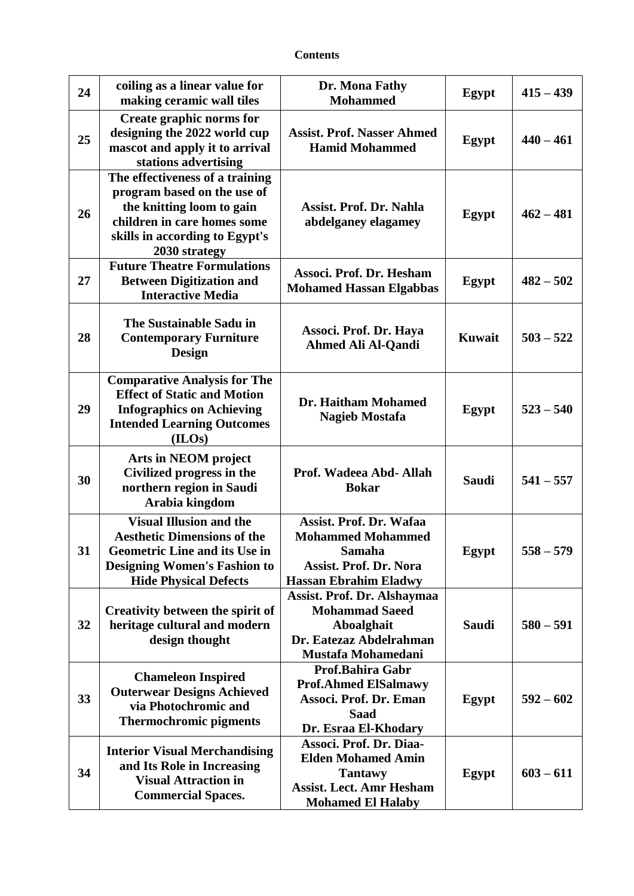| <b>Contents</b> |
|-----------------|
|-----------------|

| 24 | coiling as a linear value for<br>making ceramic wall tiles                                                                                                                          | Dr. Mona Fathy<br><b>Mohammed</b>                                                                                                     | Egypt         | $415 - 439$   |
|----|-------------------------------------------------------------------------------------------------------------------------------------------------------------------------------------|---------------------------------------------------------------------------------------------------------------------------------------|---------------|---------------|
| 25 | Create graphic norms for<br>designing the 2022 world cup<br>mascot and apply it to arrival<br>stations advertising                                                                  | <b>Assist. Prof. Nasser Ahmed</b><br><b>Hamid Mohammed</b>                                                                            | Egypt         | $440 - 461$   |
| 26 | The effectiveness of a training<br>program based on the use of<br>the knitting loom to gain<br>children in care homes some<br>skills in according to Egypt's<br>2030 strategy       | Assist. Prof. Dr. Nahla<br>abdelganey elagamey                                                                                        | Egypt         | $462 - 481$   |
| 27 | <b>Future Theatre Formulations</b><br><b>Between Digitization and</b><br><b>Interactive Media</b>                                                                                   | Associ. Prof. Dr. Hesham<br><b>Mohamed Hassan Elgabbas</b>                                                                            | Egypt         | $482 - 502$   |
| 28 | The Sustainable Sadu in<br><b>Contemporary Furniture</b><br><b>Design</b>                                                                                                           | Associ. Prof. Dr. Haya<br><b>Ahmed Ali Al-Qandi</b>                                                                                   | <b>Kuwait</b> | $503 - 522$   |
| 29 | <b>Comparative Analysis for The</b><br><b>Effect of Static and Motion</b><br><b>Infographics on Achieving</b><br><b>Intended Learning Outcomes</b><br>(ILOs)                        | Dr. Haitham Mohamed<br><b>Nagieb Mostafa</b>                                                                                          | Egypt         | $523 - 540$   |
| 30 | Arts in NEOM project<br>Civilized progress in the<br>northern region in Saudi<br>Arabia kingdom                                                                                     | Prof. Wadeea Abd- Allah<br><b>Bokar</b>                                                                                               | <b>Saudi</b>  | $541 - 557$   |
| 31 | <b>Visual Illusion and the</b><br><b>Aesthetic Dimensions of the</b><br><b>Geometric Line and its Use in</b><br><b>Designing Women's Fashion to</b><br><b>Hide Physical Defects</b> | <b>Assist. Prof. Dr. Wafaa</b><br><b>Mohammed Mohammed</b><br>Samaha<br><b>Assist. Prof. Dr. Nora</b><br><b>Hassan Ebrahim Eladwy</b> | Egypt         | 558<br>$-579$ |
| 32 | Creativity between the spirit of<br>heritage cultural and modern<br>design thought                                                                                                  | Assist. Prof. Dr. Alshaymaa<br><b>Mohammad Saeed</b><br>Aboalghait<br>Dr. Eatezaz Abdelrahman<br>Mustafa Mohamedani                   | <b>Saudi</b>  | $580 - 591$   |
| 33 | <b>Chameleon Inspired</b><br><b>Outerwear Designs Achieved</b><br>via Photochromic and<br><b>Thermochromic pigments</b>                                                             | Prof.Bahira Gabr<br><b>Prof.Ahmed ElSalmawy</b><br>Associ. Prof. Dr. Eman<br><b>Saad</b><br>Dr. Esraa El-Khodary                      | Egypt         | $592 - 602$   |
| 34 | <b>Interior Visual Merchandising</b><br>and Its Role in Increasing<br><b>Visual Attraction in</b><br><b>Commercial Spaces.</b>                                                      | Associ. Prof. Dr. Diaa-<br><b>Elden Mohamed Amin</b><br><b>Tantawy</b><br><b>Assist. Lect. Amr Hesham</b><br><b>Mohamed El Halaby</b> | Egypt         | $603 - 611$   |